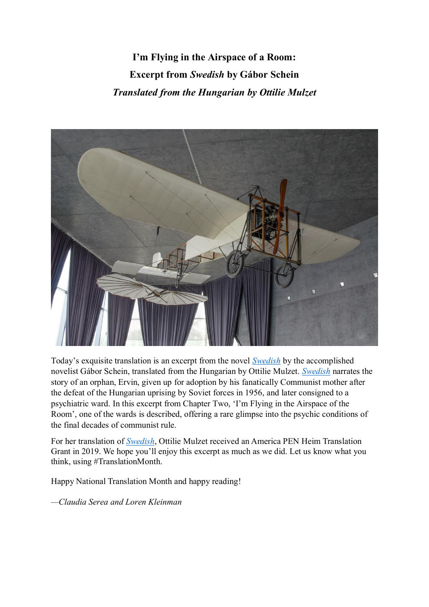**I'm Flying in the Airspace of a Room: Excerpt from** *Swedish* **by Gábor Schein** *Translated from the Hungarian by Ottilie Mulzet*



Today's exquisite translation is an excerpt from the novel *[Swedish](http://kalligram.libricsoport.hu/)* by the accomplished novelist Gábor Schein, translated from the Hungarian by Ottilie Mulzet. *[Swedish](http://kalligram.libricsoport.hu/)* narrates the story of an orphan, Ervin, given up for adoption by his fanatically Communist mother after the defeat of the Hungarian uprising by Soviet forces in 1956, and later consigned to a psychiatric ward. In this excerpt from Chapter Two, 'I'm Flying in the Airspace of the Room', one of the wards is described, offering a rare glimpse into the psychic conditions of the final decades of communist rule.

For her translation of *[Swedish](http://kalligram.libricsoport.hu/)*, Ottilie Mulzet received an America PEN Heim Translation Grant in 2019. We hope you'll enjoy this excerpt as much as we did. Let us know what you think, using #TranslationMonth.

Happy National Translation Month and happy reading!

*—Claudia Serea and Loren Kleinman*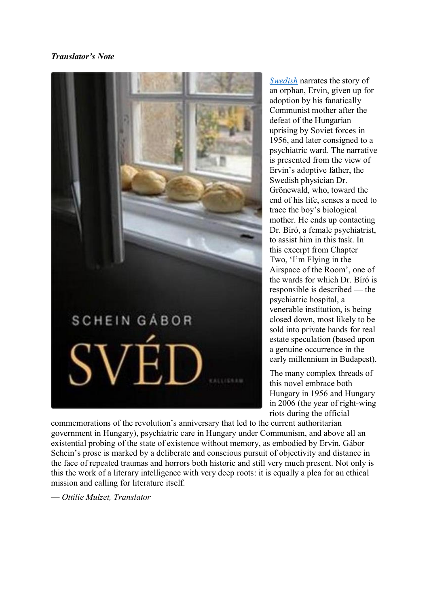# *Translator's Note*



*[Swedish](http://kalligram.libricsoport.hu/)* narrates the story of an orphan, Ervin, given up for adoption by his fanatically Communist mother after the defeat of the Hungarian uprising by Soviet forces in 1956, and later consigned to a psychiatric ward. The narrative is presented from the view of Ervin's adoptive father, the Swedish physician Dr. Grönewald, who, toward the end of his life, senses a need to trace the boy's biological mother. He ends up contacting Dr. Bíró, a female psychiatrist, to assist him in this task. In this excerpt from Chapter Two, 'I'm Flying in the Airspace of the Room', one of the wards for which Dr. Bíró is responsible is described — the psychiatric hospital, a venerable institution, is being closed down, most likely to be sold into private hands for real estate speculation (based upon a genuine occurrence in the early millennium in Budapest).

The many complex threads of this novel embrace both Hungary in 1956 and Hungary in 2006 (the year of right-wing riots during the official

commemorations of the revolution's anniversary that led to the current authoritarian government in Hungary), psychiatric care in Hungary under Communism, and above all an existential probing of the state of existence without memory, as embodied by Ervin. Gábor Schein's prose is marked by a deliberate and conscious pursuit of objectivity and distance in the face of repeated traumas and horrors both historic and still very much present. Not only is this the work of a literary intelligence with very deep roots: it is equally a plea for an ethical mission and calling for literature itself.

— *Ottilie Mulzet, Translator*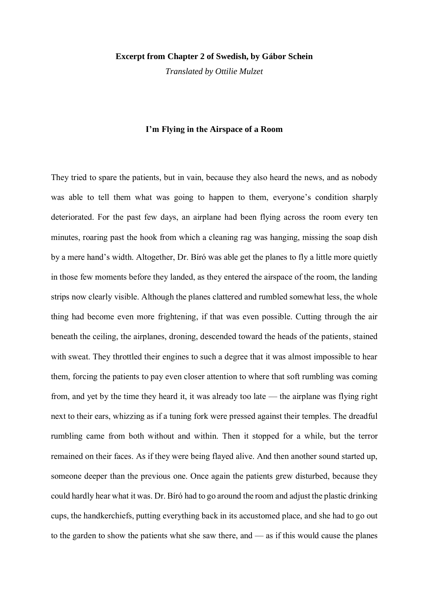#### **Excerpt from Chapter 2 of Swedish, by Gábor Schein**

*Translated by Ottilie Mulzet*

### **I'm Flying in the Airspace of a Room**

They tried to spare the patients, but in vain, because they also heard the news, and as nobody was able to tell them what was going to happen to them, everyone's condition sharply deteriorated. For the past few days, an airplane had been flying across the room every ten minutes, roaring past the hook from which a cleaning rag was hanging, missing the soap dish by a mere hand's width. Altogether, Dr. Bíró was able get the planes to fly a little more quietly in those few moments before they landed, as they entered the airspace of the room, the landing strips now clearly visible. Although the planes clattered and rumbled somewhat less, the whole thing had become even more frightening, if that was even possible. Cutting through the air beneath the ceiling, the airplanes, droning, descended toward the heads of the patients, stained with sweat. They throttled their engines to such a degree that it was almost impossible to hear them, forcing the patients to pay even closer attention to where that soft rumbling was coming from, and yet by the time they heard it, it was already too late — the airplane was flying right next to their ears, whizzing as if a tuning fork were pressed against their temples. The dreadful rumbling came from both without and within. Then it stopped for a while, but the terror remained on their faces. As if they were being flayed alive. And then another sound started up, someone deeper than the previous one. Once again the patients grew disturbed, because they could hardly hear what it was. Dr. Bíró had to go around the room and adjust the plastic drinking cups, the handkerchiefs, putting everything back in its accustomed place, and she had to go out to the garden to show the patients what she saw there, and — as if this would cause the planes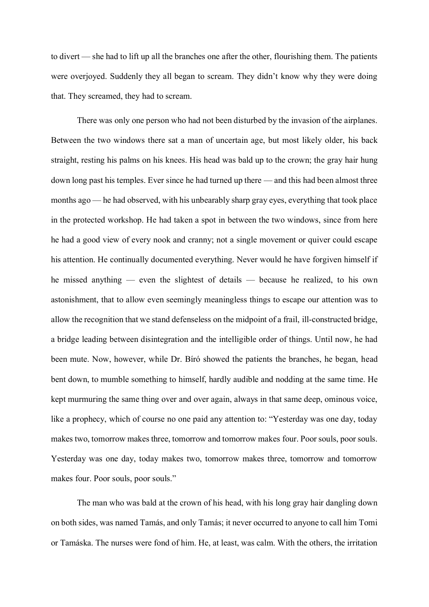to divert — she had to lift up all the branches one after the other, flourishing them. The patients were overjoyed. Suddenly they all began to scream. They didn't know why they were doing that. They screamed, they had to scream.

There was only one person who had not been disturbed by the invasion of the airplanes. Between the two windows there sat a man of uncertain age, but most likely older, his back straight, resting his palms on his knees. His head was bald up to the crown; the gray hair hung down long past his temples. Ever since he had turned up there — and this had been almost three months ago — he had observed, with his unbearably sharp gray eyes, everything that took place in the protected workshop. He had taken a spot in between the two windows, since from here he had a good view of every nook and cranny; not a single movement or quiver could escape his attention. He continually documented everything. Never would he have forgiven himself if he missed anything — even the slightest of details — because he realized, to his own astonishment, that to allow even seemingly meaningless things to escape our attention was to allow the recognition that we stand defenseless on the midpoint of a frail, ill-constructed bridge, a bridge leading between disintegration and the intelligible order of things. Until now, he had been mute. Now, however, while Dr. Bíró showed the patients the branches, he began, head bent down, to mumble something to himself, hardly audible and nodding at the same time. He kept murmuring the same thing over and over again, always in that same deep, ominous voice, like a prophecy, which of course no one paid any attention to: "Yesterday was one day, today makes two, tomorrow makes three, tomorrow and tomorrow makes four. Poor souls, poor souls. Yesterday was one day, today makes two, tomorrow makes three, tomorrow and tomorrow makes four. Poor souls, poor souls."

The man who was bald at the crown of his head, with his long gray hair dangling down on both sides, was named Tamás, and only Tamás; it never occurred to anyone to call him Tomi or Tamáska. The nurses were fond of him. He, at least, was calm. With the others, the irritation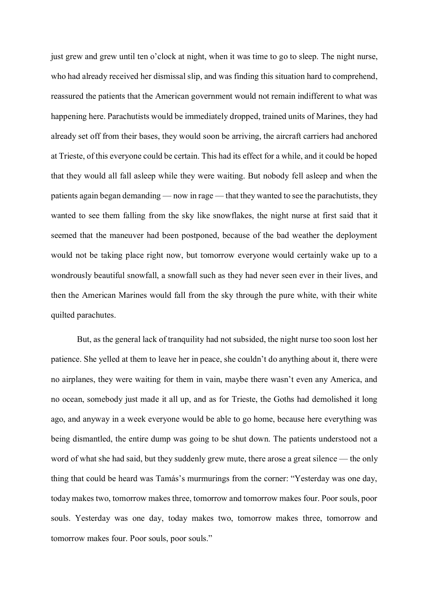just grew and grew until ten o'clock at night, when it was time to go to sleep. The night nurse, who had already received her dismissal slip, and was finding this situation hard to comprehend, reassured the patients that the American government would not remain indifferent to what was happening here. Parachutists would be immediately dropped, trained units of Marines, they had already set off from their bases, they would soon be arriving, the aircraft carriers had anchored at Trieste, of this everyone could be certain. This had its effect for a while, and it could be hoped that they would all fall asleep while they were waiting. But nobody fell asleep and when the patients again began demanding — now in rage — that they wanted to see the parachutists, they wanted to see them falling from the sky like snowflakes, the night nurse at first said that it seemed that the maneuver had been postponed, because of the bad weather the deployment would not be taking place right now, but tomorrow everyone would certainly wake up to a wondrously beautiful snowfall, a snowfall such as they had never seen ever in their lives, and then the American Marines would fall from the sky through the pure white, with their white quilted parachutes.

But, as the general lack of tranquility had not subsided, the night nurse too soon lost her patience. She yelled at them to leave her in peace, she couldn't do anything about it, there were no airplanes, they were waiting for them in vain, maybe there wasn't even any America, and no ocean, somebody just made it all up, and as for Trieste, the Goths had demolished it long ago, and anyway in a week everyone would be able to go home, because here everything was being dismantled, the entire dump was going to be shut down. The patients understood not a word of what she had said, but they suddenly grew mute, there arose a great silence — the only thing that could be heard was Tamás's murmurings from the corner: "Yesterday was one day, today makes two, tomorrow makes three, tomorrow and tomorrow makes four. Poor souls, poor souls. Yesterday was one day, today makes two, tomorrow makes three, tomorrow and tomorrow makes four. Poor souls, poor souls."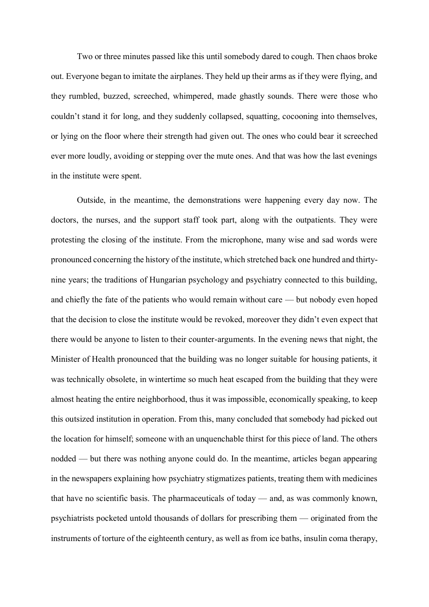Two or three minutes passed like this until somebody dared to cough. Then chaos broke out. Everyone began to imitate the airplanes. They held up their arms as if they were flying, and they rumbled, buzzed, screeched, whimpered, made ghastly sounds. There were those who couldn't stand it for long, and they suddenly collapsed, squatting, cocooning into themselves, or lying on the floor where their strength had given out. The ones who could bear it screeched ever more loudly, avoiding or stepping over the mute ones. And that was how the last evenings in the institute were spent.

Outside, in the meantime, the demonstrations were happening every day now. The doctors, the nurses, and the support staff took part, along with the outpatients. They were protesting the closing of the institute. From the microphone, many wise and sad words were pronounced concerning the history of the institute, which stretched back one hundred and thirtynine years; the traditions of Hungarian psychology and psychiatry connected to this building, and chiefly the fate of the patients who would remain without care — but nobody even hoped that the decision to close the institute would be revoked, moreover they didn't even expect that there would be anyone to listen to their counter-arguments. In the evening news that night, the Minister of Health pronounced that the building was no longer suitable for housing patients, it was technically obsolete, in wintertime so much heat escaped from the building that they were almost heating the entire neighborhood, thus it was impossible, economically speaking, to keep this outsized institution in operation. From this, many concluded that somebody had picked out the location for himself; someone with an unquenchable thirst for this piece of land. The others nodded — but there was nothing anyone could do. In the meantime, articles began appearing in the newspapers explaining how psychiatry stigmatizes patients, treating them with medicines that have no scientific basis. The pharmaceuticals of today — and, as was commonly known, psychiatrists pocketed untold thousands of dollars for prescribing them — originated from the instruments of torture of the eighteenth century, as well as from ice baths, insulin coma therapy,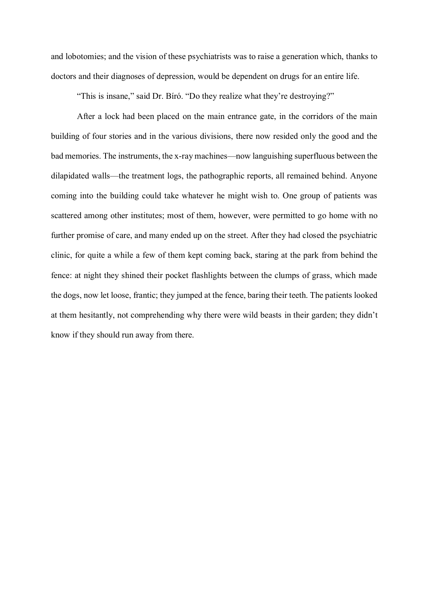and lobotomies; and the vision of these psychiatrists was to raise a generation which, thanks to doctors and their diagnoses of depression, would be dependent on drugs for an entire life.

"This is insane," said Dr. Bíró. "Do they realize what they're destroying?"

After a lock had been placed on the main entrance gate, in the corridors of the main building of four stories and in the various divisions, there now resided only the good and the bad memories. The instruments, the x-ray machines—now languishing superfluous between the dilapidated walls—the treatment logs, the pathographic reports, all remained behind. Anyone coming into the building could take whatever he might wish to. One group of patients was scattered among other institutes; most of them, however, were permitted to go home with no further promise of care, and many ended up on the street. After they had closed the psychiatric clinic, for quite a while a few of them kept coming back, staring at the park from behind the fence: at night they shined their pocket flashlights between the clumps of grass, which made the dogs, now let loose, frantic; they jumped at the fence, baring their teeth. The patients looked at them hesitantly, not comprehending why there were wild beasts in their garden; they didn't know if they should run away from there.